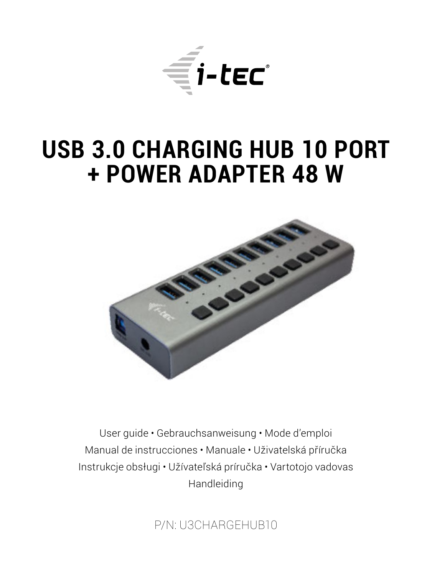

# **USB 3.0 CHARGING HUB 10 PORT + POWER ADAPTER 48 W**



User guide • Gebrauchsanweisung • Mode d'emploi Manual de instrucciones • Manuale • Uživatelská příručka Instrukcje obsługi • Užívateľská príručka • Vartotojo vadovas Handleiding

P/N: U3CHARGEHUB10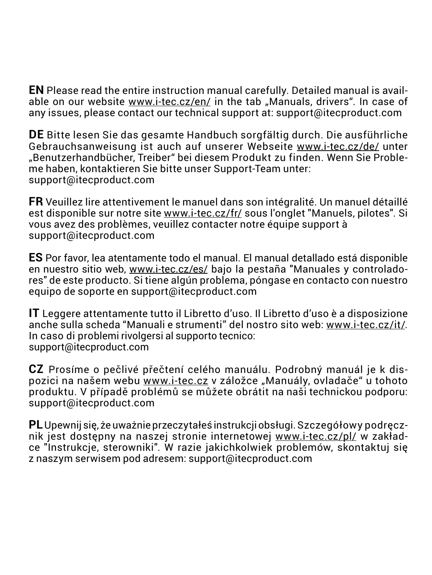**EN** Please read the entire instruction manual carefully. Detailed manual is available on our website www.i-tec.cz/en/ in the tab "Manuals, drivers". In case of any issues, please contact our technical support at: support@itecproduct.com

**DE** Bitte lesen Sie das gesamte Handbuch sorgfältig durch. Die ausführliche Gebrauchsanweisung ist auch auf unserer Webseite www.i-tec.cz/de/ unter "Benutzerhandbücher, Treiber" bei diesem Produkt zu finden. Wenn Sie Probleme haben, kontaktieren Sie bitte unser Support-Team unter: support@itecproduct.com

**FR** Veuillez lire attentivement le manuel dans son intégralité. Un manuel détaillé est disponible sur notre site www.i-tec.cz/fr/ sous l'onglet "Manuels, pilotes". Si vous avez des problèmes, veuillez contacter notre équipe support à support@itecproduct.com

**ES** Por favor, lea atentamente todo el manual. El manual detallado está disponible en nuestro sitio web, www.i-tec.cz/es/ bajo la pestaña "Manuales y controladores" de este producto. Si tiene algún problema, póngase en contacto con nuestro equipo de soporte en support@itecproduct.com

**IT** Leggere attentamente tutto il Libretto d'uso. Il Libretto d'uso è a disposizione anche sulla scheda "Manuali e strumenti" del nostro sito web: www.i-tec.cz/it/. In caso di problemi rivolgersi al supporto tecnico: support@itecproduct.com

**CZ** Prosíme o pečlivé přečtení celého manuálu. Podrobný manuál je k dis pozici na našem webu www.i-tec.cz v záložce "Manuály, ovladače" u tohoto produktu. V pří padě problémů se můžete obrátit na naši technickou podporu: support@itecproduct.com

**PL** Upewnij się, że uważnie przeczytałeś instrukcji obsługi. Szczegółowy podręcznik jest dostępny na naszej stronie internetowej www.i-tec.cz/pl/ w zakładce "Instrukcje, sterowniki". W razie jakichkolwiek problemów, skontaktuj się z naszym serwisem pod adresem: support@itecproduct.com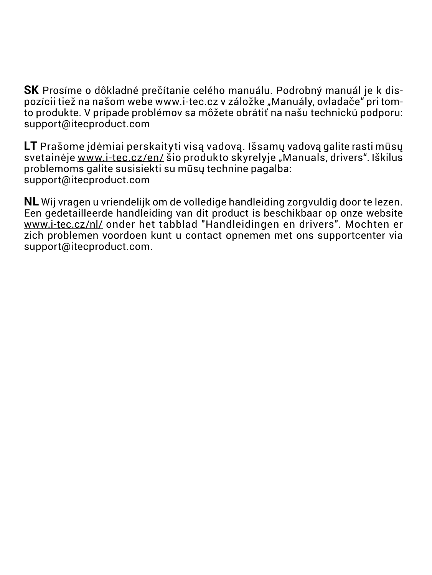**SK** Prosíme o dôkladné prečítanie celého manuálu. Podrobný manuál je k dispozícii tiež na našom webe www.i-tec.cz v záložke "Manuály, ovladače" pri tomto produkte. V prípade problémov sa môžete obrátiť na našu technickú podporu: support@itecproduct.com

**LT** Prašome įdėmiai perskaityti visą vadovą. Išsamų vadovą galite rasti mūsų svetainėje www.i-tec.cz/en/ šio produkto skyrelyje "Manuals, drivers". Iškilus problemoms galite susisiekti su mūsų technine pagalba: support@itecproduct.com

**NL** Wij vragen u vriendelijk om de volledige handleiding zorgvuldig door te lezen. Een gedetailleerde handleiding van dit product is beschikbaar op onze website www.i-tec.cz/nl/ onder het tabblad "Handleidingen en drivers". Mochten er zich problemen voordoen kunt u contact opnemen met ons supportcenter via support@itecproduct.com.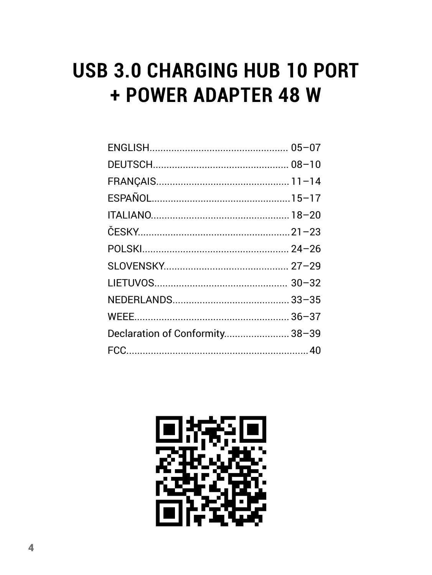# **USB 3.0 CHARGING HUB 10 PORT** + POWER ADAPTER 48 W

| Declaration of Conformity 38-39 |  |
|---------------------------------|--|
|                                 |  |
|                                 |  |

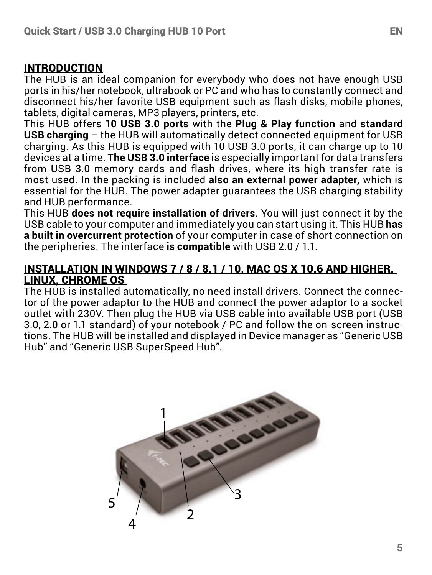#### INTRODUCTION

The HUB is an ideal companion for everybody who does not have enough USB ports in his/her notebook, ultrabook or PC and who has to constantly connect and disconnect his/her favorite USB equipment such as flash disks, mobile phones, tablets, digital cameras, MP3 players, printers, etc.

This HUB offers **10 USB 3.0 ports** with the **Plug & Play function** and **standard USB charging** – the HUB will automatically detect connected equipment for USB charging. As this HUB is equipped with 10 USB 3.0 ports, it can charge up to 10 devices at a time. **The USB 3.0 interface** is especially important for data transfers from USB 3.0 memory cards and flash drives, where its high transfer rate is most used. In the packing is included **also an external power adapter,** which is essential for the HUB. The power adapter guarantees the USB charging stability and HUB performance.

This HUB **does not require installation of drivers**. You will just connect it by the USB cable to your computer and immediately you can start using it. This HUB **has a built in overcurrent protection** of your computer in case of short connection on the peripheries. The interface **is compatible** with USB 2.0 / 1.1.

#### INSTALLATION IN WINDOWS 7 / 8 / 8.1 / 10, MAC OS X 10.6 AND HIGHER, LINUX, CHROME OS

The HUB is installed automatically, no need install drivers. Connect the connector of the power adaptor to the HUB and connect the power adaptor to a socket outlet with 230V. Then plug the HUB via USB cable into available USB port (USB 3.0, 2.0 or 1.1 standard) of your notebook / PC and follow the on-screen instructions. The HUB will be installed and displayed in Device manager as "Generic USB Hub" and "Generic USB SuperSpeed Hub".

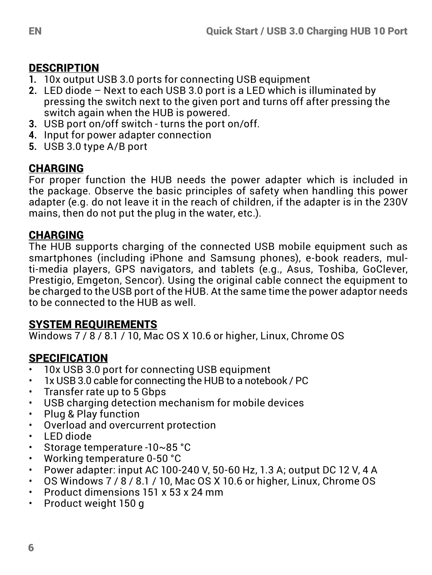## DESCRIPTION

- **1.** 10x output USB 3.0 ports for connecting USB equipment
- **2.** LED diode Next to each USB 3.0 port is a LED which is illuminated by pressing the switch next to the given port and turns off after pressing the switch again when the HUB is powered.
- **3.** USB port on/off switch turns the port on/off.
- **4.** Input for power adapter connection
- **5.** USB 3.0 type A/B port

## CHARGING

For proper function the HUB needs the power adapter which is included in the package. Observe the basic principles of safety when handling this power adapter (e.g. do not leave it in the reach of children, if the adapter is in the 230V mains, then do not put the plug in the water, etc.).

## CHARGING

The HUB supports charging of the connected USB mobile equipment such as smartphones (including iPhone and Samsung phones), e-book readers, multi-media players, GPS navigators, and tablets (e.g., Asus, Toshiba, GoClever, Prestigio, Emgeton, Sencor). Using the original cable connect the equipment to be charged to the USB port of the HUB. At the same time the power adaptor needs to be connected to the HUB as well.

## SYSTEM REQUIREMENTS

Windows  $7/8/8.1/10$ , Mac OS X 10.6 or higher, Linux, Chrome OS

## SPECIFICATION

- $\cdot$  10x USB 3.0 port for connecting USB equipment
- 1x USB 3.0 cable for connecting the HUB to a notebook / PC
- Transfer rate up to 5 Gbps
- USB charging detection mechanism for mobile devices
- Plug & Play function
- Overload and overcurrent protection
- LED diode
- Storage temperature -10~85 °C
- Working temperature 0-50 °C
- Power adapter: input AC 100-240 V, 50-60 Hz, 1.3 A; output DC 12 V, 4 A
- OS Windows 7 / 8 / 8.1 / 10, Mac OS X 10.6 or higher, Linux, Chrome OS
- Product dimensions  $151 \times 53 \times 24$  mm
- Product weight 150 g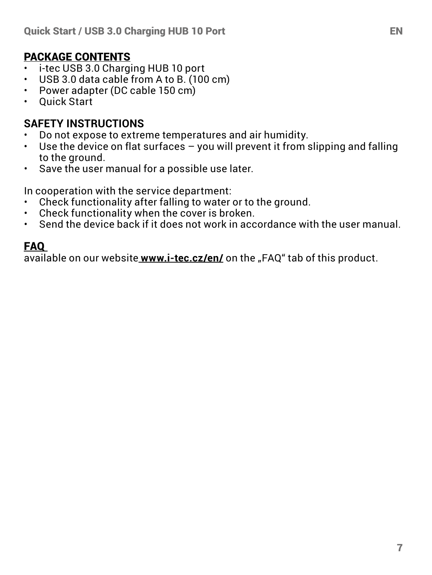#### PACKAGE CONTENTS

- $\cdot$  i-tec USB 3.0 Charging HUB 10 port
- USB 3.0 data cable from A to B. (100 cm)<br>• Power adapter (DC cable 150 cm)
- Power adapter (DC cable 150 cm)<br>• Ouick Start
- Quick Start

# **SAFETY INSTRUCTIONS**

- Do not expose to extreme temperatures and air humidity.
- Use the device on flat surfaces you will prevent it from slipping and falling to the ground.
- Save the user manual for a possible use later.

In cooperation with the service department:

- Check functionality after falling to water or to the ground.<br>• Check functionality when the cover is broken
- Check functionality when the cover is broken.<br>• Send the device back if it does not work in acc.
- Send the device back if it does not work in accordance with the user manual.

## FAQ

available on our website www.i-tec.cz/en/ on the "FAQ" tab of this product.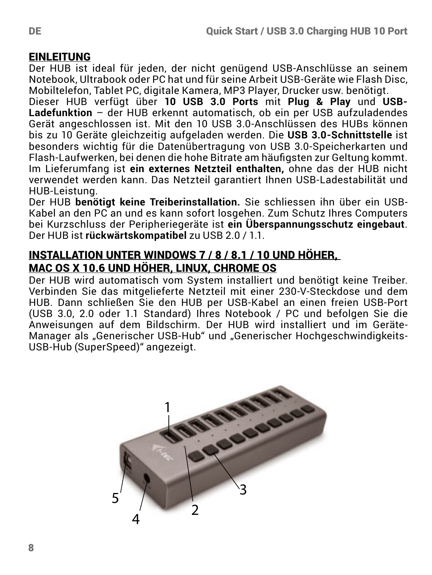#### **EINLEITUNG**

Der HUB ist ideal für jeden, der nicht genügend USB-Anschlüsse an seinem Notebook, Ultrabook oder PC hat und für seine Arbeit USB-Geräte wie Flash Disc, Mobiltelefon, Tablet PC, digitale Kamera, MP3 Player, Drucker usw. benötigt.

Dieser HUB verfügt über **10 USB 3.0 Ports** mit **Plug & Play** und **USB-Ladefunktion** – der HUB erkennt automatisch, ob ein per USB aufzuladendes Gerät angeschlossen ist. Mit den 10 USB 3.0-Anschlüssen des HUBs können bis zu 10 Geräte gleichzeitig aufgeladen werden. Die **USB 3.0-Schnittstelle** ist besonders wichtig für die Datenübertragung von USB 3.0-Speicherkarten und Flash-Laufwerken, bei denen die hohe Bitrate am häufigsten zur Geltung kommt. Im Lieferumfang ist **ein externes Netzteil enthalten,** ohne das der HUB nicht verwendet werden kann. Das Netzteil garantiert Ihnen USB-Ladestabilität und HUB-Leistung.

Der HUB **benötigt keine Treiberinstallation.** Sie schliessen ihn über ein USB-Kabel an den PC an und es kann sofort losgehen. Zum Schutz Ihres Computers bei Kurzschluss der Peripheriegeräte ist **ein Überspannungsschutz eingebaut**. Der HUB ist **rückwärtskompatibel** zu USB 2.0 / 1.1.

#### INSTALLATION UNTER WINDOWS 7 / 8 / 8.1 / 10 UND HÖHER, MAC OS X 10.6 UND HÖHER, LINUX, CHROME OS

Der HUB wird automatisch vom System installiert und benötigt keine Treiber. Verbinden Sie das mitgelieferte Netzteil mit einer 230-V-Steckdose und dem HUB. Dann schließen Sie den HUB per USB-Kabel an einen freien USB-Port (USB 3.0, 2.0 oder 1.1 Standard) Ihres Notebook / PC und befolgen Sie die Anweisungen auf dem Bildschirm. Der HUB wird installiert und im Geräte-Manager als "Generischer USB-Hub" und "Generischer Hochgeschwindigkeits-USB-Hub (SuperSpeed)" angezeigt.

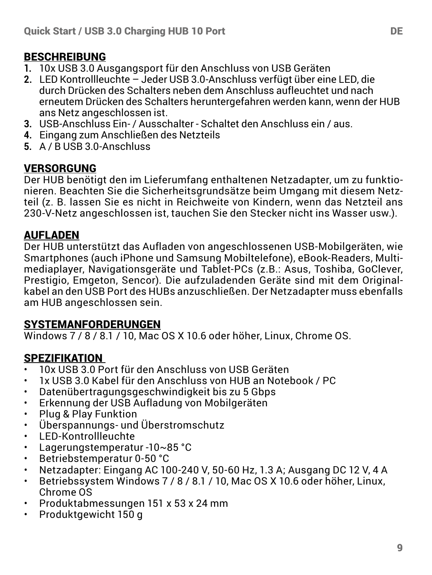## **BESCHREIBUNG**

- **1.** 10x USB 3.0 Ausgangsport für den Anschluss von USB Geräten
- **2.** LED Kontrollleuchte Jeder USB 3.0-Anschluss verfügt über eine LED, die durch Drücken des Schalters neben dem Anschluss aufleuchtet und nach erneutem Drücken des Schalters heruntergefahren werden kann, wenn der HUB ans Netz angeschlossen ist.
- **3.** USB-Anschluss Ein- / Ausschalter Schaltet den Anschluss ein / aus.
- **4.** Eingang zum Anschließen des Netzteils
- **5.** A / B USB 3.0-Anschluss

#### VERSORGUNG

Der HUB benötigt den im Lieferumfang enthaltenen Netzadapter, um zu funktionieren. Beachten Sie die Sicherheitsgrundsätze beim Umgang mit diesem Netzteil (z. B. lassen Sie es nicht in Reichweite von Kindern, wenn das Netzteil ans 230-V-Netz angeschlossen ist, tauchen Sie den Stecker nicht ins Wasser usw.).

#### AUFLADEN

Der HUB unterstützt das Aufladen von angeschlossenen USB-Mobilgeräten, wie Smartphones (auch iPhone und Samsung Mobiltelefone), eBook-Readers, Multimediaplayer, Navigationsgeräte und Tablet-PCs (z.B.: Asus, Toshiba, GoClever, Prestigio, Emgeton, Sencor). Die aufzuladenden Geräte sind mit dem Originalkabel an den USB Port des HUBs anzuschließen. Der Netzadapter muss ebenfalls am HUB angeschlossen sein.

#### SYSTEMANFORDERUNGEN

Windows 7 / 8 / 8.1 / 10, Mac OS X 10.6 oder höher, Linux, Chrome OS.

## SPEZIFIKATION

- 10x USB 3.0 Port für den Anschluss von USB Geräten
- 1x USB 3.0 Kabel für den Anschluss von HUB an Notebook / PC
- Datenübertragungsgeschwindigkeit bis zu 5 Gbps
- Erkennung der USB Aufladung von Mobilgeräten
- Plug & Play Funktion
- Überspannungs- und Überstromschutz
- LED-Kontrollleuchte
- Lagerungstemperatur -10~85 °C
- Betriebstemperatur 0-50 °C
- Netzadapter: Eingang AC 100-240 V, 50-60 Hz, 1.3 A; Ausgang DC 12 V, 4 A
- Betriebssystem Windows 7 / 8 / 8.1 / 10, Mac OS X 10.6 oder höher, Linux, Chrome OS
- Produktabmessungen 151 x 53 x 24 mm
- Produktgewicht 150 g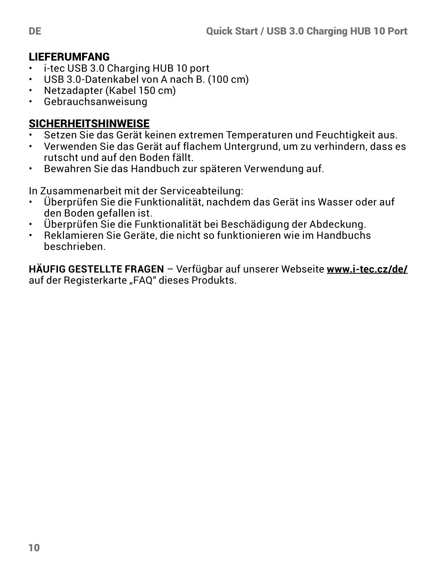# **LIEFERUMFANG**<br>• i-tec USB 3.0.0

- i-tec USB 3.0 Charging HUB 10 port
- USB 3.0-Datenkabel von A nach B. (100 cm)<br>• Netzadanter (Kabel 150 cm)
- Netzadapter (Kabel 150 cm)<br>• Gebrauchsanweisung
- Gebrauchsanweisung

#### SICHERHEITSHINWEISE

- Setzen Sie das Gerät keinen extremen Temperaturen und Feuchtigkeit aus.<br>• Verwenden Sie das Gerät auf flechem Untergrund um zu verhindern, dass ge
- Verwenden Sie das Gerät auf flachem Untergrund, um zu verhindern, dass es rutscht und auf den Boden fällt.
- Bewahren Sie das Handbuch zur späteren Verwendung auf.

In Zusammenarbeit mit der Serviceabteilung:

- Überprüfen Sie die Funktionalität, nachdem das Gerät ins Wasser oder auf den Boden gefallen ist.
- Überprüfen Sie die Funktionalität bei Beschädigung der Abdeckung.
- Reklamieren Sie Geräte, die nicht so funktionieren wie im Handbuchs beschrieben.

**HÄUFIG GESTELLTE FRAGEN** – Verfügbar auf unserer Webseite **www.i-tec.cz/de/**  auf der Registerkarte "FAO" dieses Produkts.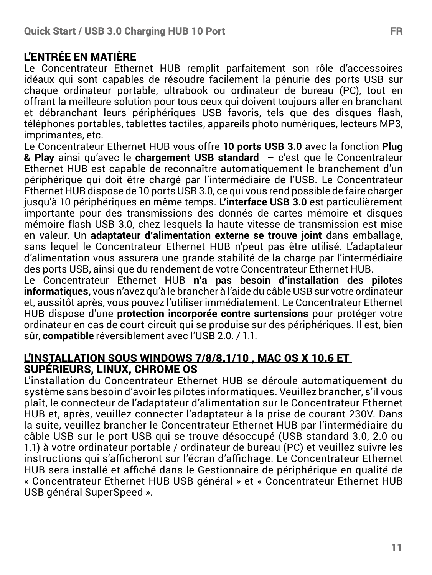#### L'ENTRÉE EN MATIÈRE

Le Concentrateur Ethernet HUB remplit parfaitement son rôle d'accessoires idéaux qui sont capables de résoudre facilement la pénurie des ports USB sur chaque ordinateur portable, ultrabook ou ordinateur de bureau (PC), tout en offrant la meilleure solution pour tous ceux qui doivent toujours aller en branchant et débranchant leurs périphériques USB favoris, tels que des disques flash, téléphones portables, tablettes tactiles, appareils photo numériques, lecteurs MP3, imprimantes, etc.

Le Concentrateur Ethernet HUB vous offre **10 ports USB 3.0** avec la fonction **Plug & Play** ainsi qu'avec le **chargement USB standard** – c'est que le Concentrateur Ethernet HUB est capable de reconnaître automatiquement le branchement d'un périphérique qui doit être chargé par l'intermédiaire de l'USB. Le Concentrateur Ethernet HUB dispose de 10 ports USB 3.0, ce qui vous rend possible de faire charger jusqu'à 10 périphériques en même temps. **L'interface USB 3.0** est particulièrement importante pour des transmissions des donnés de cartes mémoire et disques mémoire flash USB 3.0, chez lesquels la haute vitesse de transmission est mise en valeur. Un **adaptateur d'alimentation externe se trouve joint** dans emballage, sans lequel le Concentrateur Ethernet HUB n'peut pas être utilisé. L'adaptateur d'alimentation vous assurera une grande stabilité de la charge par l'intermédiaire des ports USB, ainsi que du rendement de votre Concentrateur Ethernet HUB.

Le Concentrateur Ethernet HUB **n'a pas besoin d'installation des pilotes informatiques,** vous n'avez qu'à le brancher à l'aide du câble USB sur votre ordinateur et, aussitôt après, vous pouvez l'utiliser immédiatement. Le Concentrateur Ethernet HUB dispose d'une **protection incorporée contre surtensions** pour protéger votre ordinateur en cas de court-circuit qui se produise sur des périphériques. Il est, bien sûr, **compatible** réversiblement avec l'USB 2.0. / 1.1.

#### L'INSTALLATION SOUS WINDOWS 7/8/8.1/10 , MAC OS X 10.6 ET SUPÉRIEURS, LINUX, CHROME OS

L'installation du Concentrateur Ethernet HUB se déroule automatiquement du système sans besoin d'avoir les pilotes informatiques. Veuillez brancher, s'il vous plaît, le connecteur de l'adaptateur d'alimentation sur le Concentrateur Ethernet HUB et, après, veuillez connecter l'adaptateur à la prise de courant 230V. Dans la suite, veuillez brancher le Concentrateur Ethernet HUB par l'intermédiaire du câble USB sur le port USB qui se trouve désoccupé (USB standard 3.0, 2.0 ou 1.1) à votre ordinateur portable / ordinateur de bureau (PC) et veuillez suivre les instructions qui s'afficheront sur l'écran d'affichage. Le Concentrateur Ethernet HUB sera installé et affiché dans le Gestionnaire de périphérique en qualité de « Concentrateur Ethernet HUB USB général » et « Concentrateur Ethernet HUB USB général SuperSpeed ».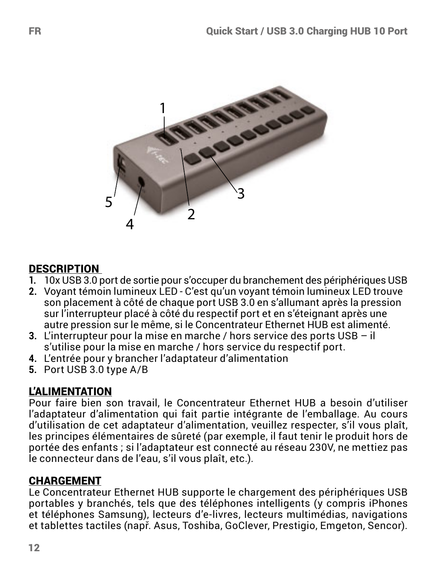

## **DESCRIPTION**

- **1.** 10x USB 3.0 port de sortie pour s'occuper du branchement des périphériques USB
- **2.** Voyant témoin lumineux LED C'est qu'un voyant témoin lumineux LED trouve son placement à côté de chaque port USB 3.0 en s'allumant après la pression sur l'interrupteur placé à côté du respectif port et en s'éteignant après une autre pression sur le même, si le Concentrateur Ethernet HUB est alimenté.
- **3.** L'interrupteur pour la mise en marche / hors service des ports USB il s'utilise pour la mise en marche / hors service du respectif port.
- **4.** L'entrée pour y brancher l'adaptateur d'alimentation
- **5.** Port USB 3.0 type A/B

## L'ALIMENTATION

Pour faire bien son travail, le Concentrateur Ethernet HUB a besoin d'utiliser l'adaptateur d'alimentation qui fait partie intégrante de l'emballage. Au cours d'utilisation de cet adaptateur d'alimentation, veuillez respecter, s'il vous plaît, les principes élémentaires de sûreté (par exemple, il faut tenir le produit hors de portée des enfants ; si l'adaptateur est connecté au réseau 230V, ne mettiez pas le connecteur dans de l'eau, s'il vous plaît, etc.).

## CHARGEMENT

Le Concentrateur Ethernet HUB supporte le chargement des périphériques USB portables y branchés, tels que des téléphones intelligents (y compris iPhones et téléphones Samsung), lecteurs d'e-livres, lecteurs multimédias, navigations et tablettes tactiles (např. Asus, Toshiba, GoClever, Prestigio, Emgeton, Sencor).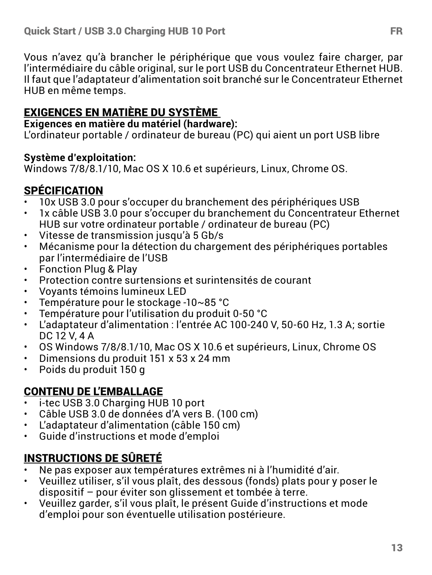Vous n'avez qu'à brancher le périphérique que vous voulez faire charger, par l'intermédiaire du câble original, sur le port USB du Concentrateur Ethernet HUB. Il faut que l'adaptateur d'alimentation soit branché sur le Concentrateur Ethernet HUB en même temps.

## EXIGENCES EN MATIÈRE DU SYSTÈME

#### **Exigences en matière du matériel (hardware):**

L'ordinateur portable / ordinateur de bureau (PC) qui aient un port USB libre

#### **Système d'exploitation:**

Windows 7/8/8.1/10, Mac OS X 10.6 et supérieurs, Linux, Chrome OS.

## SPÉCIFICATION

- 10x USB 3.0 pour s'occuper du branchement des périphériques USB<br>• 1x câble USB 3.0 pour s'occuper du branchement du Concentrateur l
- 1x câble USB 3.0 pour s'occuper du branchement du Concentrateur Ethernet HUB sur votre ordinateur portable / ordinateur de bureau (PC)
- Vitesse de transmission jusqu'à 5 Gb/s
- Mécanisme pour la détection du chargement des périphériques portables par l'intermédiaire de l'USB
- Fonction Plug & Play
- Protection contre surtensions et surintensités de courant
- Voyants témoins lumineux LED<br>• Température pour le stockage
- Température pour le stockage -10~85 °C
- Température pour l'utilisation du produit 0-50 °C
- L'adaptateur d'alimentation : l'entrée AC 100-240 V, 50-60 Hz, 1.3 A; sortie DC 12 V, 4 A
- OS Windows 7/8/8.1/10, Mac OS X 10.6 et supérieurs, Linux, Chrome OS
- Dimensions du produit 151 x 53 x 24 mm
- Poids du produit 150 g

## CONTENU DE L'EMBALLAGE

- i-tec USB 3.0 Charging HUB 10 port
- Câble USB 3.0 de données d'A vers B. (100 cm)
- L'adaptateur d'alimentation (câble 150 cm)
- Guide d'instructions et mode d'emploi

## INSTRUCTIONS DE SÛRETÉ

- Ne pas exposer aux températures extrêmes ni à l'humidité d'air.
- Veuillez utiliser, s'il vous plaît, des dessous (fonds) plats pour y poser le dispositif – pour éviter son glissement et tombée à terre.
- Veuillez garder, s'il vous plaît, le présent Guide d'instructions et mode d'emploi pour son éventuelle utilisation postérieure.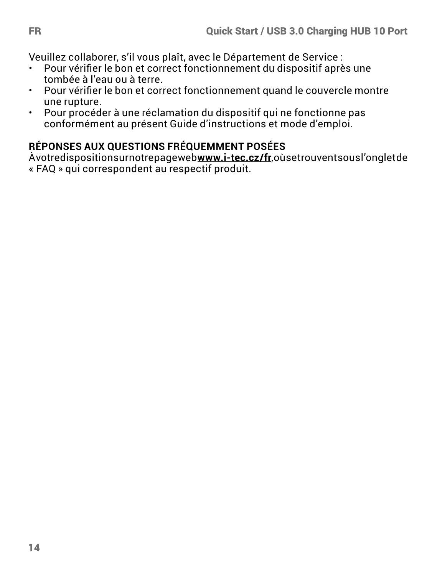Veuillez collaborer, s'il vous plaît, avec le Département de Service :

- Pour vérifier le bon et correct fonctionnement du dispositif après une tombée à l'eau ou à terre.
- Pour vérifier le bon et correct fonctionnement quand le couvercle montre une rupture.
- Pour procéder à une réclamation du dispositif qui ne fonctionne pas conformément au présent Guide d'instructions et mode d'emploi.

## **RÉPONSES AUX QUESTIONS FRÉQUEMMENT POSÉES**

À votre disposition sur notre page web **www.i-tec.cz/fr**, où se trouvent sous l'onglet de « FAQ » qui correspondent au respectif produit.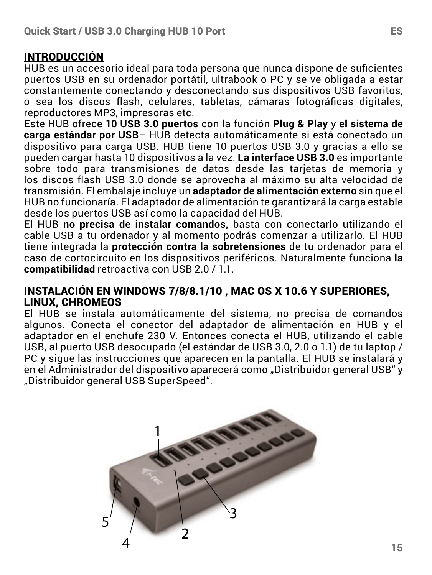#### INTRODUCCIÓN

HUB es un accesorio ideal para toda persona que nunca dispone de suficientes puertos USB en su ordenador portátil, ultrabook o PC y se ve obligada a estar constantemente conectando y desconectando sus dispositivos USB favoritos, o sea los discos flash, celulares, tabletas, cámaras fotográficas digitales, reproductores MP3, impresoras etc.

Este HUB ofrece **10 USB 3.0 puertos** con la función **Plug & Play** y **el sistema de carga estándar por USB**– HUB detecta automáticamente si está conectado un dispositivo para carga USB. HUB tiene 10 puertos USB 3.0 y gracias a ello se pueden cargar hasta 10 dispositivos a la vez. **La interface USB 3.0** es importante sobre todo para transmisiones de datos desde las tarjetas de memoria y los discos flash USB 3.0 donde se aprovecha al máximo su alta velocidad de transmisión. El embalaje incluye un **adaptador de alimentación externo** sin que el HUB no funcionaría. El adaptador de alimentación te garantizará la carga estable desde los puertos USB así como la capacidad del HUB.

El HUB **no precisa de instalar comandos,** basta con conectarlo utilizando el cable USB a tu ordenador y al momento podrás comenzar a utilizarlo. El HUB tiene integrada la **protección contra la sobretensiones** de tu ordenador para el caso de cortocircuito en los dispositivos periféricos. Naturalmente funciona **la compatibilidad** retroactiva con USB 2.0 / 1.1.

#### INSTALACIÓN EN WINDOWS 7/8/8.1/10 , MAC OS X 10.6 Y SUPERIORES, LINUX, CHROMEOS

El HUB se instala automáticamente del sistema, no precisa de comandos algunos. Conecta el conector del adaptador de alimentación en HUB y el adaptador en el enchufe 230 V. Entonces conecta el HUB, utilizando el cable USB, al puerto USB desocupado (el estándar de USB 3.0, 2.0 o 1.1) de tu laptop / PC y sigue las instrucciones que aparecen en la pantalla. El HUB se instalará y en el Administrador del dispositivo aparecerá como "Distribuidor general USB" y "Distribuidor general USB SuperSpeed".

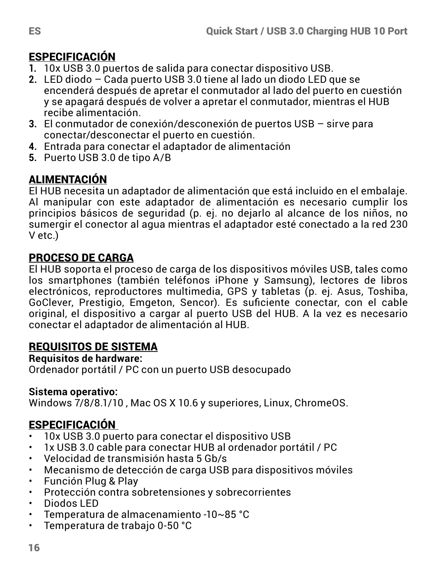## ESPECIFICACIÓN

- **1.** 10x USB 3.0 puertos de salida para conectar dispositivo USB.
- **2.** LED diodo Cada puerto USB 3.0 tiene al lado un diodo LED que se encenderá después de apretar el conmutador al lado del puerto en cuestión y se apagará después de volver a apretar el conmutador, mientras el HUB recibe alimentación.
- **3.** El conmutador de conexión/desconexión de puertos USB sirve para conectar/desconectar el puerto en cuestión.
- **4.** Entrada para conectar el adaptador de alimentación
- **5.** Puerto USB 3.0 de tipo A/B

## ALIMENTACIÓN

El HUB necesita un adaptador de alimentación que está incluido en el embalaje. Al manipular con este adaptador de alimentación es necesario cumplir los principios básicos de seguridad (p. ej. no dejarlo al alcance de los niños, no sumergir el conector al agua mientras el adaptador esté conectado a la red 230 V etc.)

## PROCESO DE CARGA

El HUB soporta el proceso de carga de los dispositivos móviles USB, tales como los smartphones (también teléfonos iPhone y Samsung), lectores de libros electrónicos, reproductores multimedia, GPS y tabletas (p. ej. Asus, Toshiba, GoClever, Prestigio, Emgeton, Sencor). Es suficiente conectar, con el cable original, el dispositivo a cargar al puerto USB del HUB. A la vez es necesario conectar el adaptador de alimentación al HUB.

## REQUISITOS DE SISTEMA

## **Requisitos de hardware:**

Ordenador portátil / PC con un puerto USB desocupado

#### **Sistema operativo:**

Windows 7/8/8.1/10 , Mac OS X 10.6 y superiores, Linux, ChromeOS.

## ESPECIFICACIÓN

- 10x USB 3.0 puerto para conectar el dispositivo USB
- 1x USB 3.0 cable para conectar HUB al ordenador portátil / PC
- Velocidad de transmisión hasta 5 Gb/s
- Mecanismo de detección de carga USB para dispositivos móviles
- Función Plug & Play
- Protección contra sobretensiones y sobrecorrientes
- Diodos LED
- Temperatura de almacenamiento -10~85 °C
- Temperatura de trabajo 0-50 °C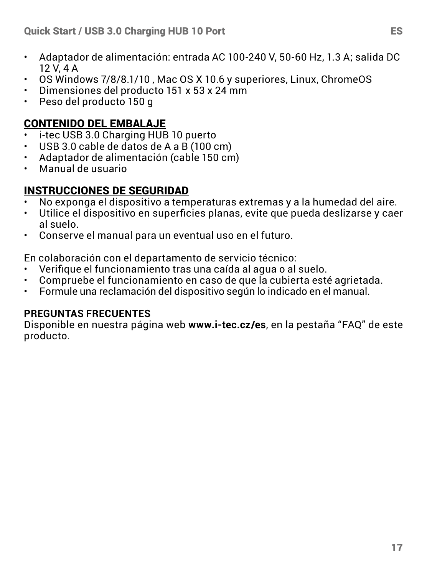- Adaptador de alimentación: entrada AC 100-240 V, 50-60 Hz, 1.3 A; salida DC 12 V, 4 A
- OS Windows 7/8/8.1/10 , Mac OS X 10.6 y superiores, Linux, ChromeOS
- Dimensiones del producto 151 x 53 x 24 mm
- Peso del producto 150 g

#### CONTENIDO DEL EMBALAJE

- i-tec USB 3.0 Charging HUB 10 puerto
- USB 3.0 cable de datos de A a B (100 cm)
- Adaptador de alimentación (cable 150 cm)
- Manual de usuario

#### INSTRUCCIONES DE SEGURIDAD

- No exponga el dispositivo a temperaturas extremas y a la humedad del aire.
- Utilice el dispositivo en superficies planas, evite que pueda deslizarse y caer al suelo.
- Conserve el manual para un eventual uso en el futuro.

En colaboración con el departamento de servicio técnico:

- Verifique el funcionamiento tras una caída al agua o al suelo.
- Compruebe el funcionamiento en caso de que la cubierta esté agrietada.
- Formule una reclamación del dispositivo según lo indicado en el manual.

#### **PREGUNTAS FRECUENTES**

Disponible en nuestra página web **www.i-tec.cz/es**, en la pestaña "FAQ" de este producto.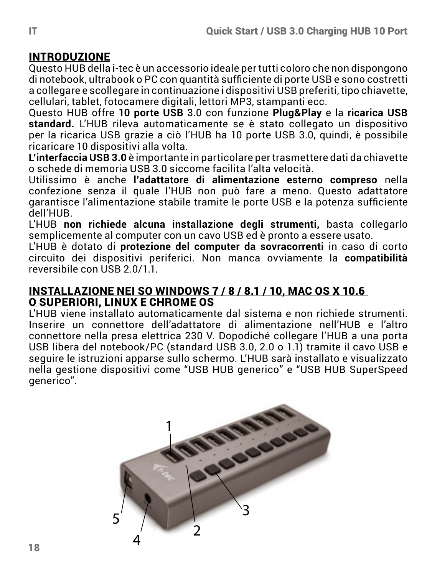#### INTRODUZIONE

Questo HUB della i-tec è un accessorio ideale per tutti coloro che non dispongono di notebook, ultrabook o PC con quantità sufficiente di porte USB e sono costretti a collegare e scollegare in continuazione i dispositivi USB preferiti, tipo chiavette, cellulari, tablet, fotocamere digitali, lettori MP3, stampanti ecc.

Questo HUB offre **10 porte USB** 3.0 con funzione **Plug&Play** e la **ricarica USB standard.** L'HUB rileva automaticamente se è stato collegato un dispositivo per la ricarica USB grazie a ciò l'HUB ha 10 porte USB 3.0, quindi, è possibile ricaricare 10 dispositivi alla volta.

**L'interfaccia USB 3.0** è importante in particolare per trasmettere dati da chiavette o schede di memoria USB 3.0 siccome facilita l'alta velocità.

Utilissimo è anche **l'adattatore di alimentazione esterno compreso** nella confezione senza il quale l'HUB non può fare a meno. Questo adattatore garantisce l'alimentazione stabile tramite le porte USB e la potenza sufficiente dell'HUB.

L'HUB **non richiede alcuna installazione degli strumenti,** basta collegarlo semplicemente al computer con un cavo USB ed è pronto a essere usato.

L'HUB è dotato di **protezione del computer da sovracorrenti** in caso di corto circuito dei dispositivi periferici. Non manca ovviamente la **compatibilità** reversibile con USB 2.0/1.1.

#### INSTALLAZIONE NEI SO WINDOWS 7 / 8 / 8.1 / 10, MAC OS X 10.6 O SUPERIORI, LINUX E CHROME OS

L'HUB viene installato automaticamente dal sistema e non richiede strumenti. Inserire un connettore dell'adattatore di alimentazione nell'HUB e l'altro connettore nella presa elettrica 230 V. Dopodiché collegare l'HUB a una porta USB libera del notebook/PC (standard USB 3.0, 2.0 o 1.1) tramite il cavo USB e seguire le istruzioni apparse sullo schermo. L'HUB sarà installato e visualizzato nella gestione dispositivi come "USB HUB generico" e "USB HUB SuperSpeed generico".

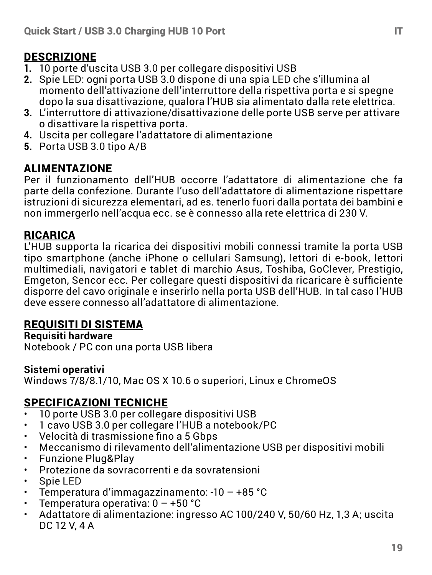## DESCRIZIONE

- **1.** 10 porte d'uscita USB 3.0 per collegare dispositivi USB
- **2.** Spie LED: ogni porta USB 3.0 dispone di una spia LED che s'illumina al momento dell'attivazione dell'interruttore della rispettiva porta e si spegne dopo la sua disattivazione, qualora l'HUB sia alimentato dalla rete elettrica.
- **3.** L'interruttore di attivazione/disattivazione delle porte USB serve per attivare o disattivare la rispettiva porta.
- **4.** Uscita per collegare l'adattatore di alimentazione
- **5.** Porta USB 3.0 tipo A/B

#### ALIMENTAZIONE

Per il funzionamento dell'HUB occorre l'adattatore di alimentazione che fa parte della confezione. Durante l'uso dell'adattatore di alimentazione rispettare istruzioni di sicurezza elementari, ad es. tenerlo fuori dalla portata dei bambini e non immergerlo nell'acqua ecc. se è connesso alla rete elettrica di 230 V.

## RICARICA

L'HUB supporta la ricarica dei dispositivi mobili connessi tramite la porta USB tipo smartphone (anche iPhone o cellulari Samsung), lettori di e-book, lettori multimediali, navigatori e tablet di marchio Asus, Toshiba, GoClever, Prestigio, Emgeton, Sencor ecc. Per collegare questi dispositivi da ricaricare è sufficiente disporre del cavo originale e inserirlo nella porta USB dell'HUB. In tal caso l'HUB deve essere connesso all'adattatore di alimentazione.

## REQUISITI DI SISTEMA

#### **Requisiti hardware**

Notebook / PC con una porta USB libera

#### **Sistemi operativi**

Windows 7/8/8.1/10, Mac OS X 10.6 o superiori, Linux e ChromeOS

## SPECIFICAZIONI TECNICHE

- 10 porte USB 3.0 per collegare dispositivi USB
- 1 cavo USB 3.0 per collegare l'HUB a notebook/PC
- Velocità di trasmissione fino a 5 Gbps
- Meccanismo di rilevamento dell'alimentazione USB per dispositivi mobili
- Funzione Plug&Play
- Protezione da sovracorrenti e da sovratensioni
- Spie LED
- Temperatura d'immagazzinamento: -10 +85 °C
- Temperatura operativa: 0 +50 °C
- Adattatore di alimentazione: ingresso AC 100/240 V, 50/60 Hz, 1,3 A; uscita DC 12 V, 4 A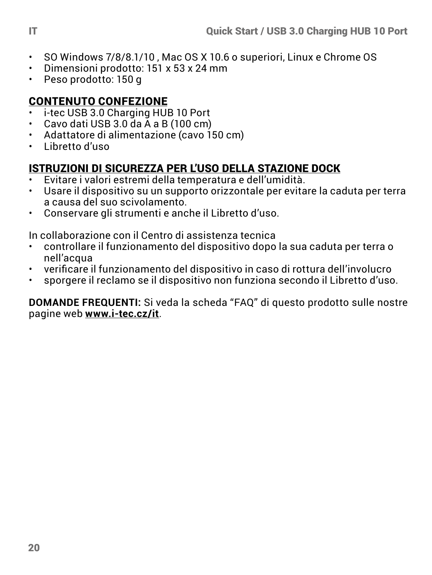- SO Windows 7/8/8.1/10, Mac OS X 10.6 o superiori, Linux e Chrome OS<br>• Dimensioni prodotto: 151 x 53 x 24 mm
- Dimensioni prodotto: 151 x 53 x 24 mm
- Peso prodotto: 150 g

## CONTENUTO CONFEZIONE

- $\cdot$  i-tec USB 3.0 Charging HUB 10 Port
- Cavo dati USB 3.0 da A a B (100 cm)
- Adattatore di alimentazione (cavo 150 cm)
- Libretto d'uso

## ISTRUZIONI DI SICUREZZA PER L'USO DELLA STAZIONE DOCK

- Evitare i valori estremi della temperatura e dell'umidità.
- Usare il dispositivo su un supporto orizzontale per evitare la caduta per terra a causa del suo scivolamento.
- Conservare gli strumenti e anche il Libretto d'uso.

In collaborazione con il Centro di assistenza tecnica

- controllare il funzionamento del dispositivo dopo la sua caduta per terra o nell'acqua
- verificare il funzionamento del dispositivo in caso di rottura dell'involucro
- sporgere il reclamo se il dispositivo non funziona secondo il Libretto d'uso.

**DOMANDE FREQUENTI:** Si veda la scheda "FAQ" di questo prodotto sulle nostre pagine web **www.i-tec.cz/it**.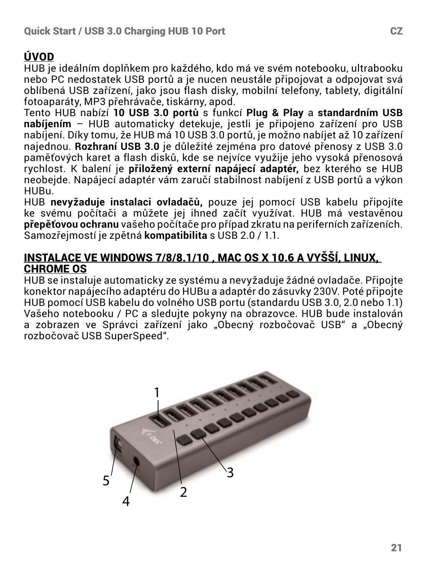## ÚVOD

HUB je ideálním doplňkem pro každého, kdo má ve svém notebooku, ultrabooku nebo PC nedostatek USB portů a je nucen neustále připojovat a odpojovat svá oblíbená USB zařízení, jako jsou flash disky, mobilní telefony, tablety, digitální fotoaparáty, MP3 přehrávače, tiskárny, apod.

Tento HUB nabízí **10 USB 3.0 portů** s funkcí **Plug & Play** a **standardním USB nabíjením** – HUB automaticky detekuje, jestli je připojeno zařízení pro USB nabíjení. Díky tomu, že HUB má 10 USB 3.0 portů, je možno nabíjet až 10 zařízení najednou. **Rozhraní USB 3.0** je důležité zejména pro datové přenosy z USB 3.0 paměťových karet a flash disků, kde se nejvíce využije jeho vysoká přenosová rychlost. K balení je **přiložený externí napájecí adaptér,** bez kterého se HUB neobejde. Napájecí adaptér vám zaručí stabilnost nabíjení z USB portů a výkon HUBu.

HUB **nevyžaduje instalaci ovladačů,** pouze jej pomocí USB kabelu připojíte ke svému počítači a můžete jej ihned začít využívat. HUB má vestavěnou **přepěťovou ochranu** vašeho počítače pro případ zkratu na periferních zařízeních. Samozřejmostí je zpětná **kompatibilita** s USB 2.0 / 1.1.

#### INSTALACE VE WINDOWS 7/8/8.1/10 , MAC OS X 10.6 A VYŠŠÍ, LINUX, CHROME OS

HUB se instaluje automaticky ze systému a nevyžaduje žádné ovladače. Připojte konektor napájecího adaptéru do HUBu a adaptér do zásuvky 230V. Poté připojte HUB pomocí USB kabelu do volného USB portu (standardu USB 3.0, 2.0 nebo 1.1) Vašeho notebooku / PC a sledujte pokyny na obrazovce. HUB bude instalován a zobrazen ve Správci zařízení jako "Obecný rozbočovač USB" a "Obecný rozbočovač USB SuperSpeed".

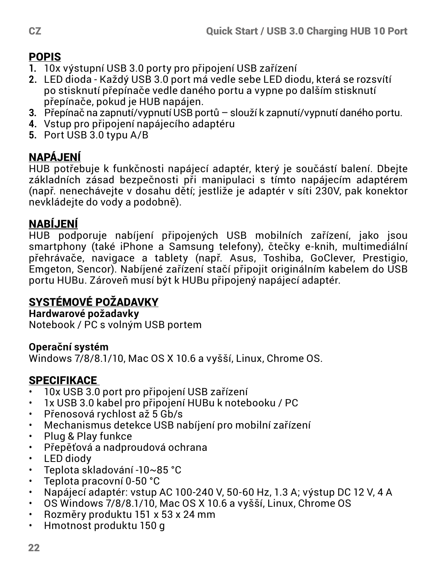## POPIS

- **1.** 10x výstupní USB 3.0 porty pro připojení USB zařízení
- **2.** LED dioda Každý USB 3.0 port má vedle sebe LED diodu, která se rozsvítí po stisknutí přepínače vedle daného portu a vypne po dalším stisknutí přepínače, pokud je HUB napájen.
- **3.** Přepínač na zapnutí/vypnutí USB portů slouží k zapnutí/vypnutí daného portu.
- **4.** Vstup pro připojení napájecího adaptéru
- **5.** Port USB 3.0 typu A/B

## NAPÁJENÍ

HUB potřebuje k funkčnosti napájecí adaptér, který je součástí balení. Dbejte základních zásad bezpečnosti při manipulaci s tímto napájecím adaptérem (např. nenechávejte v dosahu dětí; jestliže je adaptér v síti 230V, pak konektor nevkládejte do vody a podobně).

## NABÍJENÍ

HUB podporuje nabíjení připojených USB mobilních zařízení, jako jsou smartphony (také iPhone a Samsung telefony), čtečky e-knih, multimediální přehrávače, navigace a tablety (např. Asus, Toshiba, GoClever, Prestigio, Emgeton, Sencor). Nabíjené zařízení stačí připojit originálním kabelem do USB portu HUBu. Zároveň musí být k HUBu připojený napájecí adaptér.

## SYSTÉMOVÉ POŽADAVKY

**Hardwarové požadavky** Notebook / PC s volným USB portem

## **Operační systém**

Windows 7/8/8.1/10, Mac OS X 10.6 a vyšší, Linux, Chrome OS.

## **SPECIFIKACE**

- 10x USB 3.0 port pro připojení USB zařízení<br>• 1x USB 3.0 kabel pro připojení HUBu k poteb
- 1x USB 3.0 kabel pro připojení HUBu k notebooku / PC
- Přenosová rychlost až 5 Gb/s
- Mechanismus detekce USB nabíjení pro mobilní zařízení
- Plug & Play funkce
- Přepěťová a nadproudová ochrana
- LED diody
- Teplota skladování -10~85 °C
- Teplota pracovní 0-50 °C
- Napájecí adaptér: vstup AC 100-240 V, 50-60 Hz, 1.3 A; výstup DC 12 V, 4 A
- OS Windows 7/8/8.1/10, Mac OS X 10.6 a vyšší, Linux, Chrome OS
- Rozměry produktu 151 x 53 x 24 mm
- Hmotnost produktu 150 g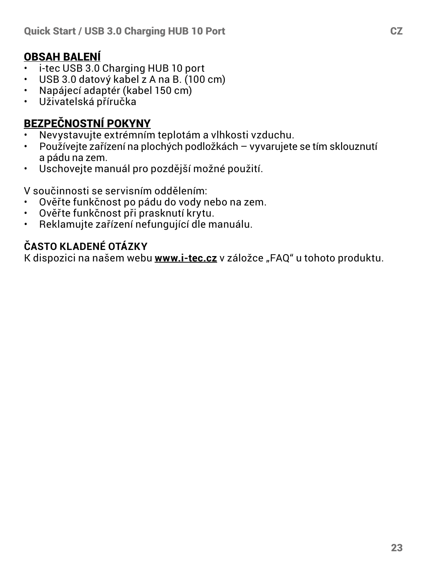## OBSAH BALENÍ

- i-tec USB 3.0 Charging HUB 10 port
- USB 3.0 datový kabel z A na B. (100 cm)<br>• Napájecí adaptér (kabel 150 cm)
- Napájecí adaptér (kabel 150 cm)<br>• Ilživatelská příručka
- Uživatelská příručka

# **BEZPEČNOSTNÍ POKYNY**

- Nevystavujte extrémním teplotám a vlhkosti vzduchu.<br>• Používajte zečízení na plosbých podležkéch vovorujete
- Používejte zařízení na plochých podložkách vyvarujete se tím sklouznutí a pádu na zem.
- Uschovejte manuál pro pozdější možné použití.

V součinnosti se servisním oddělením:

- Ověřte funkčnost po pádu do vody nebo na zem.<br>• Ověřte funkčnost při prasknutí krytu
- Ověřte funkčnost při prasknutí krytu.
- Reklamujte zařízení nefungující dle manuálu.

## **ČASTO KLADENÉ OTÁZKY**

K dispozici na našem webu **www.i-tec.cz** v záložce "FAQ" u tohoto produktu.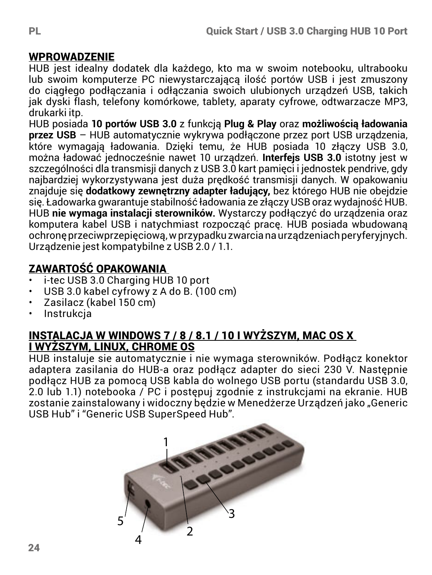#### **WPROWADZENIE**

HUB jest idealny dodatek dla każdego, kto ma w swoim notebooku, ultrabooku lub swoim komputerze PC niewystarczającą ilość portów USB i jest zmuszony do ciągłego podłączania i odłączania swoich ulubionych urządzeń USB, takich jak dyski flash, telefony komórkowe, tablety, aparaty cyfrowe, odtwarzacze MP3, drukarki itp.

HUB posiada **10 portów USB 3.0** z funkcją **Plug & Play** oraz **możliwością ładowania przez USB** – HUB automatycznie wykrywa podłączone przez port USB urządzenia, które wymagają ładowania. Dzięki temu, że HUB posiada 10 złączy USB 3.0, można ładować jednocześnie nawet 10 urządzeń. **Interfejs USB 3.0** istotny jest w szczególności dla transmisji danych z USB 3.0 kart pamięci i jednostek pendrive, gdy najbardziej wykorzystywana jest duża prędkość transmisji danych. W opakowaniu znajduje się **dodatkowy zewnętrzny adapter ładujący,** bez którego HUB nie obejdzie się. Ładowarka gwarantuje stabilność ładowania ze złączy USB oraz wydajność HUB. HUB **nie wymaga instalacji sterowników.** Wystarczy podłączyć do urządzenia oraz komputera kabel USB i natychmiast rozpocząć pracę. HUB posiada wbudowaną ochronę przeciwprzepięciową, w przypadku zwarcia na urządzeniach peryferyjnych. Urządzenie jest kompatybilne z USB 2.0 / 1.1.

## ZAWARTOŚĆ OPAKOWANIA

- i-tec USB 3.0 Charging HUB 10 port
- USB 3.0 kabel cyfrowy z A do B. (100 cm)
- Zasilacz (kabel 150 cm)
- Instrukcja

#### INSTALACJA W WINDOWS 7 / 8 / 8.1 / 10 I WYŻSZYM, MAC OS X I WYŻSZYM, LINUX, CHROME OS

HUB instaluje sie automatycznie i nie wymaga sterowników. Podłącz konektor adaptera zasilania do HUB-a oraz podłącz adapter do sieci 230 V. Następnie podłącz HUB za pomocą USB kabla do wolnego USB portu (standardu USB 3.0, 2.0 lub 1.1) notebooka / PC i postępuj zgodnie z instrukcjami na ekranie. HUB zostanie zainstalowany i widoczny będzie w Menedżerze Urządzeń jako "Generic

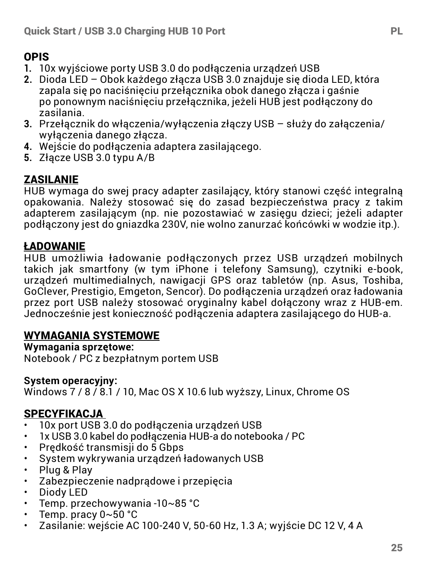## OPIS

- **1.** 10x wyjściowe porty USB 3.0 do podłączenia urządzeń USB
- **2.** Dioda LED Obok każdego złącza USB 3.0 znajduje się dioda LED, która zapala się po naciśnięciu przełącznika obok danego złącza i gaśnie po ponownym naciśnięciu przełącznika, jeżeli HUB jest podłączony do zasilania.
- **3.** Przełącznik do włączenia/wyłączenia złączy USB służy do załączenia/ wyłączenia danego złącza.
- **4.** Wejście do podłączenia adaptera zasilającego.
- **5.** Złącze USB 3.0 typu A/B

## ZASILANIE

HUB wymaga do swej pracy adapter zasilający, który stanowi część integralną opakowania. Należy stosować się do zasad bezpieczeństwa pracy z takim adapterem zasilającym (np. nie pozostawiać w zasięgu dzieci; jeżeli adapter podłączony jest do gniazdka 230V, nie wolno zanurzać końcówki w wodzie itp.).

## ŁADOWANIE

HUB umożliwia ładowanie podłączonych przez USB urządzeń mobilnych takich jak smartfony (w tym iPhone i telefony Samsung), czytniki e-book, urządzeń multimedialnych, nawigacji GPS oraz tabletów (np. Asus, Toshiba, GoClever, Prestigio, Emgeton, Sencor). Do podłączenia urządzeń oraz ładowania przez port USB należy stosować oryginalny kabel dołączony wraz z HUB-em. Jednocześnie jest konieczność podłączenia adaptera zasilającego do HUB-a.

#### WYMAGANIA SYSTEMOWE

**Wymagania sprzętowe:**  Notebook / PC z bezpłatnym portem USB

#### **System operacyjny:**

Windows 7 / 8 / 8.1 / 10, Mac OS X 10.6 lub wyższy, Linux, Chrome OS

#### SPECYFIKACJA

- 10x port USB 3.0 do podłączenia urządzeń USB
- 1x USB 3.0 kabel do podłączenia HUB-a do notebooka / PC
- Prędkość transmisji do 5 Gbps
- System wykrywania urządzeń ładowanych USB
- Plug & Play
- Zabezpieczenie nadprądowe i przepięcia
- Diody LED
- Temp. przechowywania -10~85 °C
- Temp. pracy 0~50 °C
- Zasilanie: wejście AC 100-240 V, 50-60 Hz, 1.3 A; wyjście DC 12 V, 4 A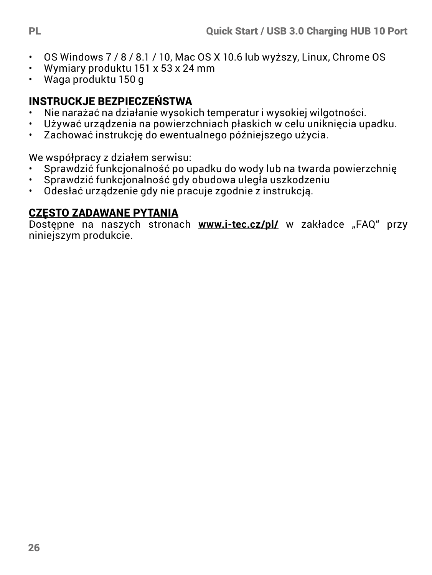- OS Windows 7 / 8 / 8.1 / 10, Mac OS X 10.6 lub wyższy, Linux, Chrome OS
- Wymiary produktu 151 x 53 x 24 mm
- Waga produktu 150 g

## INSTRUCKJE BEZPIECZEŃSTWA

- Nie narażać na działanie wysokich temperatur i wysokiej wilgotności.
- Używać urządzenia na powierzchniach płaskich w celu uniknięcia upadku.<br>• Zachować instrukcje do ewentualnego późniejszego użycia
- Zachować instrukcję do ewentualnego późniejszego użycia.

We współpracy z działem serwisu:

- Sprawdzić funkcjonalność po upadku do wody lub na twarda powierzchnię<br>• Sprawdzić funkcjonalność gdy obudowa uległa uszkodzeniu
- Sprawdzić funkcjonalność gdy obudowa uległa uszkodzeniu
- Odesłać urządzenie gdy nie pracuje zgodnie z instrukcją.

## CZĘSTO ZADAWANE PYTANIA

Dostępne na naszych stronach www.i-tec.cz/pl/ w zakładce "FAQ" przy niniejszym produkcie.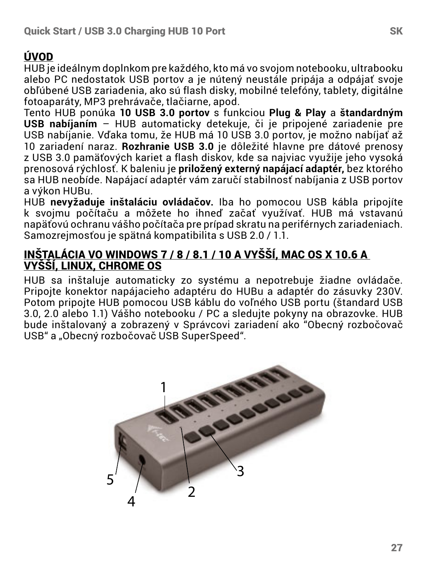## ÚVOD

HUB je ideálnym doplnkom pre každého, kto má vo svojom notebooku, ultrabooku alebo PC nedostatok USB portov a je nútený neustále pripája a odpájať svoje obľúbené USB zariadenia, ako sú flash disky, mobilné telefóny, tablety, digitálne fotoaparáty, MP3 prehrávače, tlačiarne, apod.

Tento HUB ponúka **10 USB 3.0 portov** s funkciou **Plug & Play** a **štandardným USB nabíjaním** – HUB automaticky detekuje, či je pripojené zariadenie pre USB nabíjanie. Vďaka tomu, že HUB má 10 USB 3.0 portov, je možno nabíjať až 10 zariadení naraz. **Rozhranie USB 3.0** je dôležité hlavne pre dátové prenosy z USB 3.0 pamäťových kariet a flash diskov, kde sa najviac využije jeho vysoká prenosová rýchlosť. K baleniu je **priložený externý napájací adaptér,** bez ktorého sa HUB neobíde. Napájací adaptér vám zaručí stabilnosť nabíjania z USB portov a výkon HUBu.

HUB **nevyžaduje inštaláciu ovládačov.** Iba ho pomocou USB kábla pripojíte k svojmu počítaču a môžete ho ihneď začať využívať. HUB má vstavanú napäťovú ochranu vášho počítača pre prípad skratu na periférnych zariadeniach. Samozrejmosťou je spätná kompatibilita s USB 2.0 / 1.1.

#### INŠTALÁCIA VO WINDOWS 7 / 8 / 8.1 / 10 A VYŠŠÍ, MAC OS X 10.6 A VYŠŠÍ, LINUX, CHROME OS

HUB sa inštaluje automaticky zo systému a nepotrebuje žiadne ovládače. Pripojte konektor napájacieho adaptéru do HUBu a adaptér do zásuvky 230V. Potom pripojte HUB pomocou USB káblu do voľného USB portu (štandard USB 3.0, 2.0 alebo 1.1) Vášho notebooku / PC a sledujte pokyny na obrazovke. HUB bude inštalovaný a zobrazený v Správcovi zariadení ako "Obecný rozbočovač USB" a "Obecný rozbočovač USB SuperSpeed".

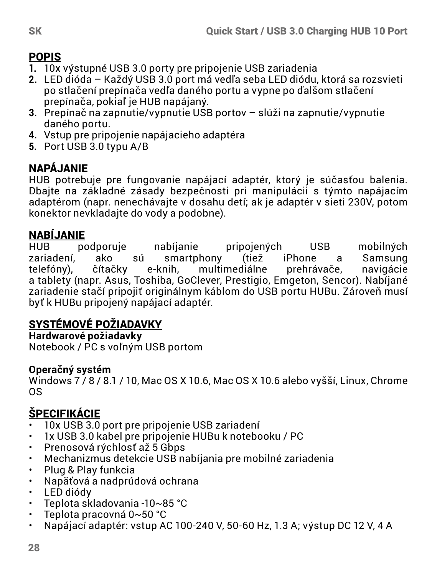## POPIS

- **1.** 10x výstupné USB 3.0 porty pre pripojenie USB zariadenia
- **2.** LED dióda Každý USB 3.0 port má vedľa seba LED diódu, ktorá sa rozsvieti po stlačení prepínača vedľa daného portu a vypne po ďalšom stlačení prepínača, pokiaľ je HUB napájaný.
- **3.** Prepínač na zapnutie/vypnutie USB portov slúži na zapnutie/vypnutie daného portu.
- **4.** Vstup pre pripojenie napájacieho adaptéra
- **5.** Port USB 3.0 typu A/B

## NAPÁJANIE

HUB potrebuje pre fungovanie napájací adaptér, ktorý je súčasťou balenia. Dbajte na základné zásady bezpečnosti pri manipulácii s týmto napájacím adaptérom (napr. nenechávajte v dosahu detí; ak je adaptér v sieti 230V, potom konektor nevkladajte do vody a podobne).

**NABÍJANIE**<br>HUB podporuie HUB podporuje nabíjanie pripojených USB mobilných zariadení, ako sú smartphony (tiež iPhone a Samsung<br>telefóny) čítačky e-knih multimediálne prehrávače navigácie telefóny), čítačky e-knih, multimediálne prehrávače, navigácie a tablety (napr. Asus, Toshiba, GoClever, Prestigio, Emgeton, Sencor). Nabíjané zariadenie stačí pripojiť originálnym káblom do USB portu HUBu. Zároveň musí byť k HUBu pripojený napájací adaptér.

## SYSTÉMOVÉ POŽIADAVKY

**Hardwarové požiadavky**

Notebook / PC s voľným USB portom

## **Operačný systém**

Windows 7/8/81/10, Mac OS X 10.6, Mac OS X 10.6 alebo vyšší, Linux, Chrome OS

## ŠPECIFIKÁCIE

- 10x USB 3.0 port pre pripojenie USB zariadení
- 1x USB 3.0 kabel pre pripojenie HUBu k notebooku / PC
- Prenosová rýchlosť až 5 Gbps
- Mechanizmus detekcie USB nabíjania pre mobilné zariadenia
- Plug & Play funkcia
- Napäťová a nadprúdová ochrana
- LED diódy<br>• Toplota sk
- Teplota skladovania -10~85 °C
- Teplota pracovná 0~50 °C
- Napájací adaptér: vstup AC 100-240 V, 50-60 Hz, 1.3 A; výstup DC 12 V, 4 A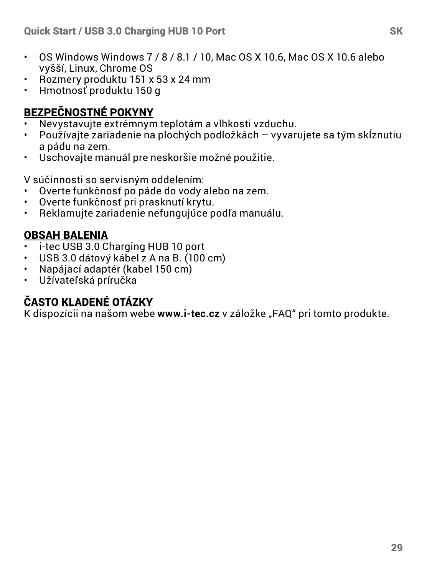- OS Windows Windows 7 / 8 / 8.1 / 10, Mac OS X 10.6, Mac OS X 10.6 alebo vyšší, Linux, Chrome OS
- Rozmery produktu 151 x 53 x 24 mm
- Hmotnosť produktu 150 g

## BEZPEČNOSTNÉ POKYNY

- Nevystavujte extrémnym teplotám a vlhkosti vzduchu.<br>• Používajte zariadenie na plochých podložkách vyvari
- Používajte zariadenie na plochých podložkách vyvarujete sa tým skĺznutiu a pádu na zem.
- Uschovajte manuál pre neskoršie možné použitie.

V súčinnosti so servisným oddelením:

- Overte funkčnosť po páde do vody alebo na zem.
- Overte funkčnosť pri prasknutí krytu.
- Reklamujte zariadenie nefungujúce podľa manuálu.

## OBSAH BALENIA

- $\cdot$  i-tec USB 3.0 Charging HUB 10 port
- USB 3.0 dátový kábel z A na B. (100 cm)
- Napájací adaptér (kabel 150 cm)<br>• Užívateľská príručka
- Užívateľská príručka

## ČASTO KLADENÉ OTÁZKY

K dispozícii na našom webe **www.i-tec.cz** v záložke "FAQ" pri tomto produkte.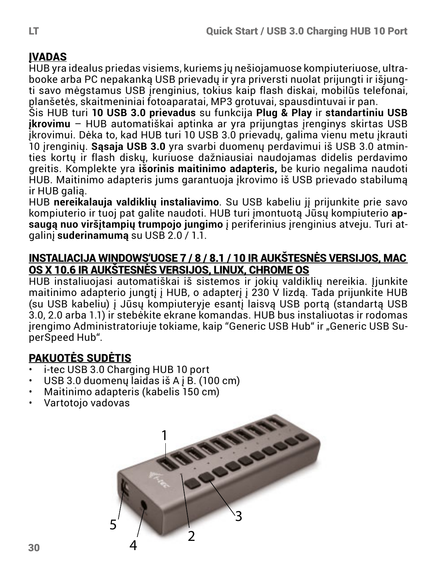## **IVADAS**

HUB yra idealus priedas visiems, kuriems jų nešiojamuose kompiuteriuose, ultrabooke arba PC nepakanką USB prievadų ir yra priversti nuolat prijungti ir išjungti savo mėgstamus USB įrenginius, tokius kaip flash diskai, mobilūs telefonai, planšetės, skaitmeniniai fotoaparatai, MP3 grotuvai, spausdintuvai ir pan.

Šis HUB turi **10 USB 3.0 prievadus** su funkcija **Plug & Play** ir **standartiniu USB įkrovimu** – HUB automatiškai aptinka ar yra prijungtas įrenginys skirtas USB įkrovimui. Dėka to, kad HUB turi 10 USB 3.0 prievadų, galima vienu metu įkrauti 10 įrenginių. **Sąsaja USB 3.0** yra svarbi duomenų perdavimui iš USB 3.0 atminties kortų ir flash diskų, kuriuose dažniausiai naudojamas didelis perdavimo greitis. Komplekte yra **išorinis maitinimo adapteris,** be kurio negalima naudoti HUB. Maitinimo adapteris jums garantuoja įkrovimo iš USB prievado stabilumą ir HUB galią.

HUB **nereikalauja valdiklių instaliavimo**. Su USB kabeliu jį prijunkite prie savo kompiuterio ir tuoj pat galite naudoti. HUB turi įmontuotą Jūsų kompiuterio **apsaugą nuo viršįtampių trumpojo jungimo** į periferinius įrenginius atveju. Turi atgalinį **suderinamumą** su USB 2.0 / 1.1.

#### INSTALIACIJA WINDOWS'UOSE 7 / 8 / 8.1 / 10 IR AUKŠTESNĖS VERSIJOS, MAC OS X 10.6 IR AUKŠTESNĖS VERSIJOS, LINUX, CHROME OS

HUB instaliuojasi automatiškai iš sistemos ir jokių valdiklių nereikia. Įjunkite maitinimo adapterio jungtį į HUB, o adapterį į 230 V lizdą. Tada prijunkite HUB (su USB kabeliu) į Jūsų kompiuteryje esantį laisvą USB portą (standartą USB 3.0, 2.0 arba 1.1) ir stebėkite ekrane komandas. HUB bus instaliuotas ir rodomas irengimo Administratoriuje tokiame, kaip "Generic USB Hub" ir "Generic USB SuperSpeed Hub".

## PAKUOTĖS SUDĖTIS

- $\cdot$  i-tec USB 3.0 Charging HUB 10 port
- $\cdot$  USB 3.0 duomenų laidas iš A į B. (100 cm)
- Maitinimo adapteris (kabelis 150 cm)
- Vartotojo vadovas

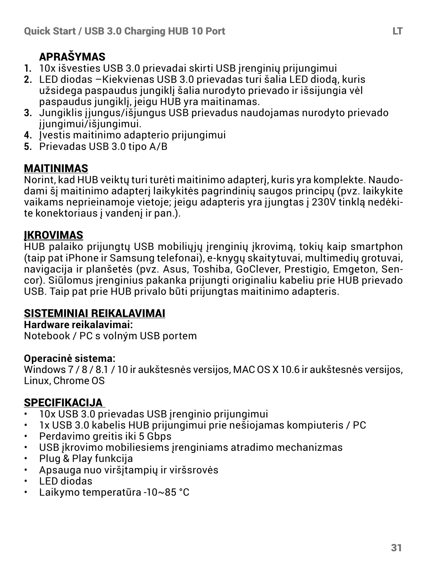## APRAŠYMAS

- **1.** 10x išvesties USB 3.0 prievadai skirti USB įrenginių prijungimui
- **2.** LED diodas –Kiekvienas USB 3.0 prievadas turi šalia LED diodą, kuris užsidega paspaudus jungiklį šalia nurodyto prievado ir išsijungia vėl paspaudus jungiklį, jeigu HUB yra maitinamas.
- **3.** Jungiklis įjungus/išjungus USB prievadus naudojamas nurodyto prievado įjungimui/išjungimui.
- **4.** Įvestis maitinimo adapterio prijungimui
- **5.** Prievadas USB 3.0 tipo A/B

## MAITINIMAS

Norint, kad HUB veiktų turi turėti maitinimo adapterį, kuris yra komplekte. Naudodami šį maitinimo adapterį laikykitės pagrindinių saugos principų (pvz. laikykite vaikams neprieinamoje vietoje; jeigu adapteris yra įjungtas į 230V tinklą nedėkite konektoriaus į vandenį ir pan.).

## ĮKROVIMAS

HUB palaiko prijungtų USB mobiliųjų įrenginių įkrovimą, tokių kaip smartphon (taip pat iPhone ir Samsung telefonai), e-knygų skaitytuvai, multimedių grotuvai, navigacija ir planšetės (pvz. Asus, Toshiba, GoClever, Prestigio, Emgeton, Sencor). Siūlomus įrenginius pakanka prijungti originaliu kabeliu prie HUB prievado USB. Taip pat prie HUB privalo būti prijungtas maitinimo adapteris.

## SISTEMINIAI REIKALAVIMAI

**Hardware reikalavimai:**  Notebook / PC s volným USB portem

#### **Operacinė sistema:**

Windows 7 / 8 / 8.1 / 10 ir aukštesnės versijos, MAC OS X 10.6 ir aukštesnės versijos, Linux, Chrome OS

## SPECIFIKACIJA

- 10x USB 3.0 prievadas USB įrenginio prijungimui
- 1x USB 3.0 kabelis HUB prijungimui prie nešiojamas kompiuteris / PC
- Perdavimo greitis iki 5 Gbps
- USB įkrovimo mobiliesiems įrenginiams atradimo mechanizmas
- Plug & Play funkcija
- Apsauga nuo viršįtampių ir viršsrovės
- LED diodas
- Laikymo temperatūra -10~85 °C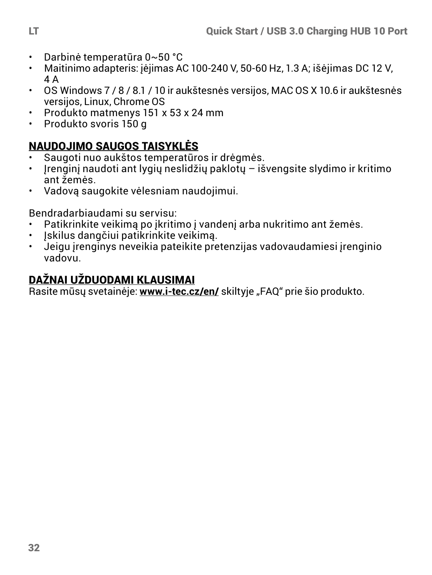- Darbinė temperatūra 0~50 °C
- Maitinimo adapteris: įėjimas AC 100-240 V, 50-60 Hz, 1.3 A; išėjimas DC 12 V, 4 A
- OS Windows 7 / 8 / 8.1 / 10 ir aukštesnės versijos, MAC OS X 10.6 ir aukštesnės versijos, Linux, Chrome OS
- Produkto matmenys 151 x 53 x 24 mm
- Produkto svoris 150 g

## NAUDOJIMO SAUGOS TAISYKLĖS

- Saugoti nuo aukštos temperatūros ir drėgmės.
- $\cdot$  Irenginį naudoti ant lygių neslidžių paklotų išvengsite slydimo ir kritimo ant žemės.
- Vadovą saugokite vėlesniam naudojimui.

Bendradarbiaudami su servisu:

- Patikrinkite veikimą po įkritimo į vandenį arba nukritimo ant žemės.
- $\cdot$  įskilus dangčiui patikrinkite veikimą.<br>• Jeigų irenginys neveikia pateikite pre
- Jeigu įrenginys neveikia pateikite pretenzijas vadovaudamiesi įrenginio vadovu.

## DAŽNAI UŽDUODAMI KLAUSIMAI

Rasite mūsų svetainėje: www.i-tec.cz/en/ skiltyje "FAQ" prie šio produkto.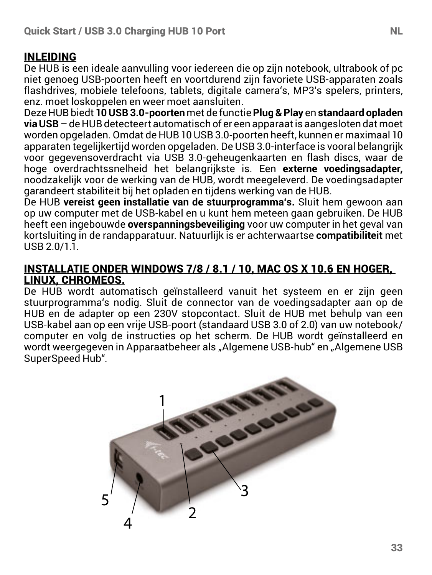#### INLEIDING

De HUB is een ideale aanvulling voor iedereen die op zijn notebook, ultrabook of pc niet genoeg USB-poorten heeft en voortdurend zijn favoriete USB-apparaten zoals flashdrives, mobiele telefoons, tablets, digitale camera's, MP3's spelers, printers enz. moet loskoppelen en weer moet aansluiten.

Deze HUB biedt **10 USB 3.0-poorten** met de functie **Plug & Play** en **standaard opladen via USB** – de HUB detecteert automatisch of er een apparaat is aangesloten dat moet worden opgeladen. Omdat de HUB 10 USB 3.0-poorten heeft, kunnen er maximaal 10 apparaten tegelijkertijd worden opgeladen. De USB 3.0-interface is vooral belangrijk voor gegevensoverdracht via USB 3.0-geheugenkaarten en flash discs, waar de hoge overdrachtssnelheid het belangrijkste is. Een **externe voedingsadapter,** noodzakelijk voor de werking van de HUB, wordt meegeleverd. De voedingsadapter garandeert stabiliteit bij het opladen en tijdens werking van de HUB.

De HUB **vereist geen installatie van de stuurprogramma's.** Sluit hem gewoon aan op uw computer met de USB-kabel en u kunt hem meteen gaan gebruiken. De HUB heeft een ingebouwde **overspanningsbeveiliging** voor uw computer in het geval van kortsluiting in de randapparatuur. Natuurlijk is er achterwaartse **compatibiliteit** met  $USR 2.0/1.1$ 

#### INSTALLATIE ONDER WINDOWS 7/8 / 8.1 / 10, MAC OS X 10.6 EN HOGER, LINUX, CHROMEOS.

De HUB wordt automatisch geïnstalleerd vanuit het systeem en er zijn geen stuurprogramma's nodig. Sluit de connector van de voedingsadapter aan op de HUB en de adapter op een 230V stopcontact. Sluit de HUB met behulp van een USB-kabel aan op een vrije USB-poort (standaard USB 3.0 of 2.0) van uw notebook/ computer en volg de instructies op het scherm. De HUB wordt geïnstalleerd en wordt weergegeven in Apparaatbeheer als "Algemene USB-hub" en "Algemene USB SuperSpeed Hub".

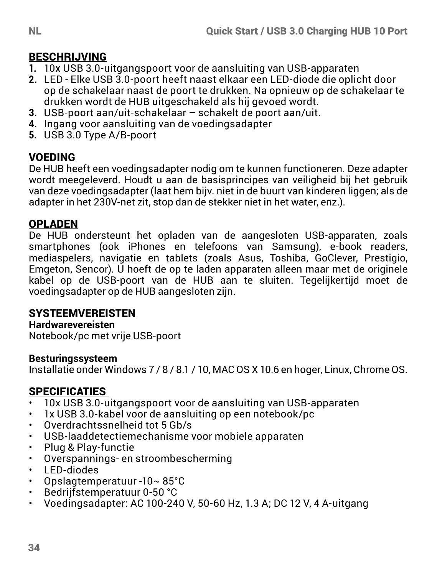#### **BESCHRIJVING**

- **1.** 10x USB 3.0-uitgangspoort voor de aansluiting van USB-apparaten
- **2.** LED Elke USB 3.0-poort heeft naast elkaar een LED-diode die oplicht door op de schakelaar naast de poort te drukken. Na opnieuw op de schakelaar te drukken wordt de HUB uitgeschakeld als hij gevoed wordt.
- **3.** USB-poort aan/uit-schakelaar schakelt de poort aan/uit.
- **4.** Ingang voor aansluiting van de voedingsadapter
- **5.** USB 3.0 Type A/B-poort

#### VOEDING

De HUB heeft een voedingsadapter nodig om te kunnen functioneren. Deze adapter wordt meegeleverd. Houdt u aan de basisprincipes van veiligheid bij het gebruik van deze voedingsadapter (laat hem bijv. niet in de buurt van kinderen liggen; als de adapter in het 230V-net zit, stop dan de stekker niet in het water, enz.).

#### OPLADEN

De HUB ondersteunt het opladen van de aangesloten USB-apparaten, zoals smartphones (ook iPhones en telefoons van Samsung), e-book readers, mediaspelers, navigatie en tablets (zoals Asus, Toshiba, GoClever, Prestigio, Emgeton, Sencor). U hoeft de op te laden apparaten alleen maar met de originele kabel op de USB-poort van de HUB aan te sluiten. Tegelijkertijd moet de voedingsadapter op de HUB aangesloten zijn.

#### **SYSTEEMVEREISTEN**

#### **Hardwarevereisten**

Notebook/pc met vrije USB-poort

#### **Besturingssysteem**

Installatie onder Windows 7 / 8 / 8.1 / 10, MAC OS X 10.6 en hoger, Linux, Chrome OS.

# **SPECIFICATIES**

- 10x USB 3.0-uitgangspoort voor de aansluiting van USB-apparaten
- 1x USB 3.0-kabel voor de aansluiting op een notebook/pc
- Overdrachtssnelheid tot 5 Gb/s
- USB-laaddetectiemechanisme voor mobiele apparaten
- Plug & Play-functie
- Overspannings- en stroombescherming
- LED-diodes
- Opslagtemperatuur -10~85°C<br>• Bedrijfstemperatuur 0-50 °C
- Bedrijfstemperatuur 0-50 °C
- Voedingsadapter: AC 100-240 V, 50-60 Hz, 1.3 A; DC 12 V, 4 A-uitgang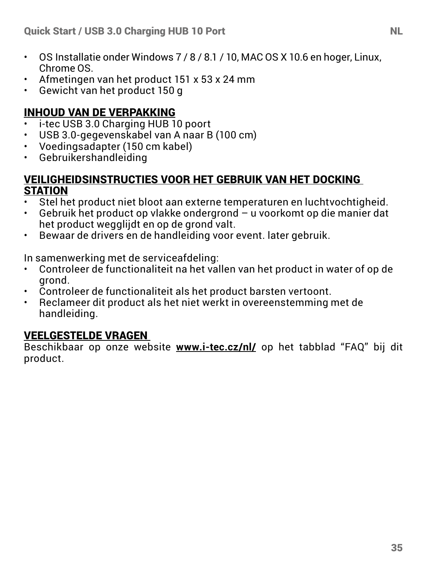- OS Installatie onder Windows 7 / 8 / 8.1 / 10, MAC OS X 10.6 en hoger, Linux, Chrome OS.
- Afmetingen van het product 151 x 53 x 24 mm
- Gewicht van het product 150 g

#### INHOUD VAN DE VERPAKKING

- i-tec USB 3.0 Charging HUB 10 poort
- USB 3.0-gegevenskabel van A naar B (100 cm)
- Voedingsadapter (150 cm kabel)
- Gebruikershandleiding

#### VEILIGHEIDSINSTRUCTIES VOOR HET GEBRUIK VAN HET DOCKING **STATION**

- Stel het product niet bloot aan externe temperaturen en luchtvochtigheid.
- Gebruik het product op vlakke ondergrond u voorkomt op die manier dat het product wegglijdt en op de grond valt.
- Bewaar de drivers en de handleiding voor event. later gebruik.

In samenwerking met de serviceafdeling:

- Controleer de functionaliteit na het vallen van het product in water of op de grond.
- Controleer de functionaliteit als het product barsten vertoont.
- Reclameer dit product als het niet werkt in overeenstemming met de handleiding.

#### VEELGESTELDE VRAGEN

Beschikbaar op onze website **www.i-tec.cz/nl/** op het tabblad "FAQ" bij dit product.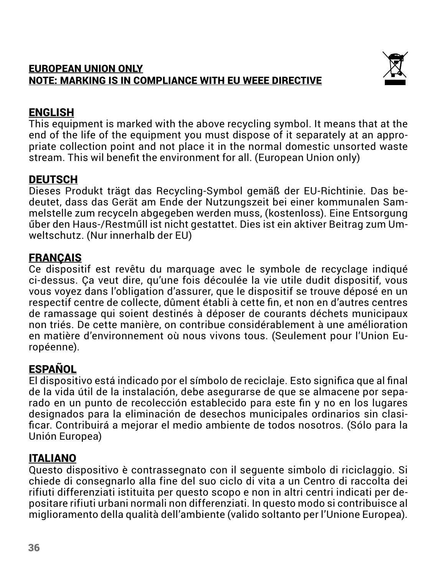#### EUROPEAN UNION ONLY NOTE: MARKING IS IN COMPLIANCE WITH EU WEEE DIRECTIVE



## ENGLISH

This equipment is marked with the above recycling symbol. It means that at the end of the life of the equipment you must dispose of it separately at an appropriate collection point and not place it in the normal domestic unsorted waste stream. This wil benefit the environment for all. (European Union only)

## **DEUTSCH**

Dieses Produkt trägt das Recycling-Symbol gemäß der EU-Richtinie. Das bedeutet, dass das Gerät am Ende der Nutzungszeit bei einer kommunalen Sammelstelle zum recyceln abgegeben werden muss, (kostenloss). Eine Entsorgung űber den Haus-/Restműll ist nicht gestattet. Dies ist ein aktiver Beitrag zum Umweltschutz. (Nur innerhalb der EU)

## **FRANCAIS**

Ce dispositif est revêtu du marquage avec le symbole de recyclage indiqué ci-dessus. Ça veut dire, qu'une fois découlée la vie utile dudit dispositif, vous vous voyez dans l'obligation d'assurer, que le dispositif se trouve déposé en un respectif centre de collecte, dûment établi à cette fin, et non en d'autres centres de ramassage qui soient destinés à déposer de courants déchets municipaux non triés. De cette manière, on contribue considérablement à une amélioration en matière d'environnement où nous vivons tous. (Seulement pour l'Union Européenne).

## ESPAÑOL

El dispositivo está indicado por el símbolo de reciclaje. Esto significa que al final de la vida útil de la instalación, debe asegurarse de que se almacene por separado en un punto de recolección establecido para este fin y no en los lugares designados para la eliminación de desechos municipales ordinarios sin clasificar. Contribuirá a mejorar el medio ambiente de todos nosotros. (Sólo para la Unión Europea)

## ITALIANO

Questo dispositivo è contrassegnato con il seguente simbolo di riciclaggio. Si chiede di consegnarlo alla fine del suo ciclo di vita a un Centro di raccolta dei rifiuti differenziati istituita per questo scopo e non in altri centri indicati per depositare rifiuti urbani normali non differenziati. In questo modo si contribuisce al miglioramento della qualità dell'ambiente (valido soltanto per l'Unione Europea).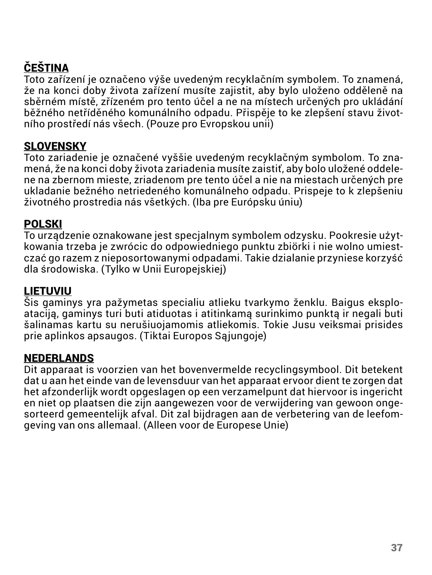## ČEŠTINA

Toto zařízení je označeno výše uvedeným recyklačním symbolem. To znamená, že na konci doby života zařízení musíte zajistit, aby bylo uloženo odděleně na sběrném místě, zřízeném pro tento účel a ne na místech určených pro ukládání běžného netříděného komunálního odpadu. Přispěje to ke zlepšení stavu životního prostředí nás všech. (Pouze pro Evropskou unii)

## **SLOVENSKY**

Toto zariadenie je označené vyššie uvedeným recyklačným symbolom. To znamená, že na konci doby života zariadenia musíte zaistiť, aby bolo uložené oddelene na zbernom mieste, zriadenom pre tento účel a nie na miestach určených pre ukladanie bežného netriedeného komunálneho odpadu. Prispeje to k zlepšeniu životného prostredia nás všetkých. (Iba pre Európsku úniu)

#### POLSKI

To urządzenie oznakowane jest specjalnym symbolem odzysku. Pookresie użytkowania trzeba je zwrócic do odpowiedniego punktu zbiörki i nie wolno umiestczać go razem z nieposortowanymi odpadami. Takie dzialanie przyniese korzyść dla środowiska. (Tylko w Unii Europejskiej)

#### LIETUVIU

Šis gaminys yra pažymetas specialiu atlieku tvarkymo ženklu. Baigus eksploataciją, gaminys turi buti atiduotas i atitinkamą surinkimo punktą ir negali buti šalinamas kartu su nerušiuojamomis atliekomis. Tokie Jusu veiksmai prisides prie aplinkos apsaugos. (Tiktai Europos Sąjungoje)

#### NEDERLANDS

Dit apparaat is voorzien van het bovenvermelde recyclingsymbool. Dit betekent dat u aan het einde van de levensduur van het apparaat ervoor dient te zorgen dat het afzonderlijk wordt opgeslagen op een verzamelpunt dat hiervoor is ingericht en niet op plaatsen die zijn aangewezen voor de verwijdering van gewoon ongesorteerd gemeentelijk afval. Dit zal bijdragen aan de verbetering van de leefomgeving van ons allemaal. (Alleen voor de Europese Unie)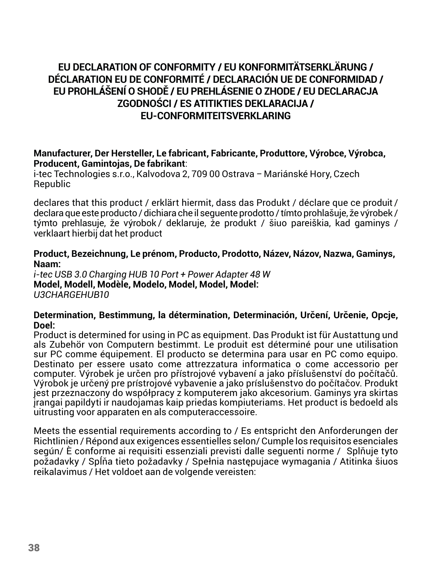#### **EU DECLARATION OF CONFORMITY / EU KONFORMITÄTSERKLÄRUNG / DÉCLARATION EU DE CONFORMITÉ / DECLARACIÓN UE DE CONFORMIDAD / EU PROHLÁŠENÍ O SHODĚ / EU PREHLÁSENIE O ZHODE / EU DECLARACJA ZGODNOŚCI / ES ATITIKTIES DEKLARACIJA / EU-CONFORMITEITSVERKLARING**

#### **Manufacturer, Der Hersteller, Le fabricant, Fabricante, Produttore, Výrobce, Výrobca, Producent, Gamintojas, De fabrikant**:

i-tec Technologies s.r.o., Kalvodova 2, 709 00 Ostrava *–* Mariánské Hory, Czech Republic

declares that this product / erklärt hiermit, dass das Produkt / déclare que ce produit / declara que este producto / dichiara che il seguente prodotto / tímto prohlašuje, že výrobek / týmto prehlasuje, že výrobok / deklaruje, że produkt / šiuo pareiškia, kad gaminys / verklaart hierbij dat het product

#### **Product, Bezeichnung, Le prénom, Producto, Prodotto, Název, Názov, Nazwa, Gaminys, Naam:**

*i-tec USB 3.0 Charging HUB 10 Port + Power Adapter 48 W* **Model, Modell, Modèle, Modelo, Model, Model, Model:**  *U3CHARGEHUB10*

#### **Determination, Bestimmung, la détermination, Determinación, Určení, Určenie, Opcje, Doel:**

Product is determined for using in PC as equipment. Das Produkt ist für Austattung und als Zubehör von Computern bestimmt. Le produit est déterminé pour une utilisation sur PC comme équipement. El producto se determina para usar en PC como equipo. Destinato per essere usato come attrezzatura informatica o come accessorio per computer. Výrobek je určen pro přístrojové vybavení a jako příslušenství do počítačů. Výrobok je určený pre prístrojové vybavenie a jako príslušenstvo do počítačov. Produkt jest przeznaczony do współpracy z komputerem jako akcesorium. Gaminys yra skirtas įrangai papildyti ir naudojamas kaip priedas kompiuteriams. Het product is bedoeld als uitrusting voor apparaten en als computeraccessoire.

Meets the essential requirements according to / Es entspricht den Anforderungen der Richtlinien / Répond aux exigences essentielles selon/ Cumple los requisitos esenciales según/ È conforme ai requisiti essenziali previsti dalle seguenti norme / Splňuje tyto požadavky / Spĺňa tieto požadavky / Spełnia następujace wymagania / Atitinka šiuos reikalavimus / Het voldoet aan de volgende vereisten: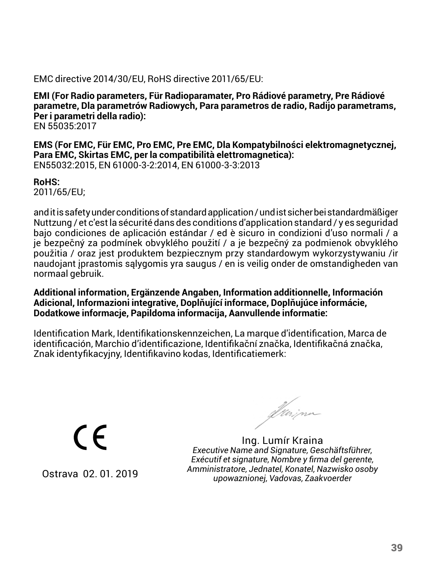#### EMC directive 2014/30/EU, RoHS directive 2011/65/EU:

**EMI (For Radio parameters, Für Radioparamater, Pro Rádiové parametry, Pre Rádiové parametre, Dla parametrów Radiowych, Para parametros de radio, Radijo parametrams, Per i parametri della radio):** EN 55035:2017

**EMS (For EMC, Für EMC, Pro EMC, Pre EMC, Dla Kompatybilności elektromagnetycznej, Para EMC, Skirtas EMC, per la compatibilità elettromagnetica):**  EN55032:2015, EN 61000-3-2:2014, EN 61000-3-3:2013

**RoHS:** 

2011/65/EU;

and it is safety under conditions of standard application / und ist sicher bei standardmäßiger Nuttzung / et c'est la sécurité dans des conditions d'application standard / y es seguridad bajo condiciones de aplicación estándar / ed è sicuro in condizioni d'uso normali / a je bezpečný za podmínek obvyklého použití / a je bezpečný za podmienok obvyklého použitia / oraz jest produktem bezpiecznym przy standardowym wykorzystywaniu /ir naudojant įprastomis sąlygomis yra saugus / en is veilig onder de omstandigheden van normaal gebruik.

**Additional information, Ergänzende Angaben, Information additionnelle, Información Adicional, Informazioni integrative, Doplňující informace, Doplňujúce informácie, Dodatkowe informacje, Papildoma informacija, Aanvullende informatie:**

Identification Mark, Identifikationskennzeichen, La marque d'identification, Marca de identificación, Marchio d'identificazione, Identifikační značka, Identifikačná značka, Znak identyfikacyjny, Identifikavino kodas, Identificatiemerk:

(  $\epsilon$ 

Ostrava 02. 01. 2019

frainn

Ing. Lumír Kraina *Executive Name and Signature, Geschäftsführer, Exécutif et signature, Nombre y firma del gerente, Amministratore, Jednatel, Konatel, Nazwisko osoby upowaznionej, Vadovas, Zaakvoerder*